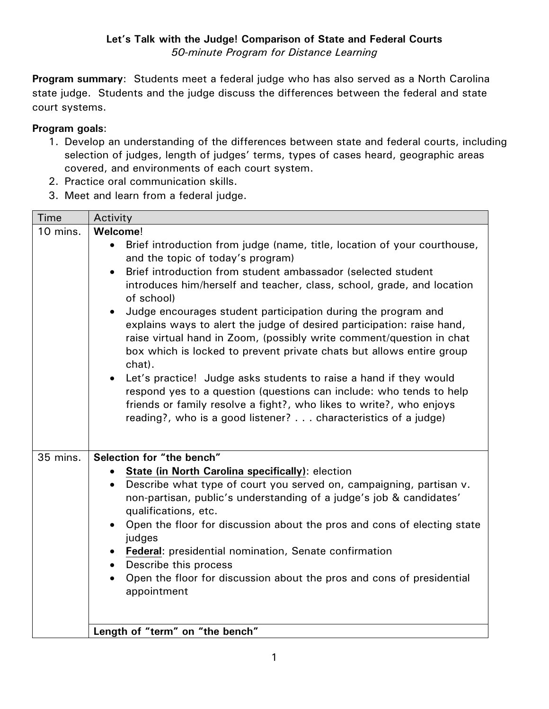**Program summary**: Students meet a federal judge who has also served as a North Carolina state judge. Students and the judge discuss the differences between the federal and state court systems.

## **Program goals**:

- 1. Develop an understanding of the differences between state and federal courts, including selection of judges, length of judges' terms, types of cases heard, geographic areas covered, and environments of each court system.
- 2. Practice oral communication skills.
- 3. Meet and learn from a federal judge.

| Time     | Activity                                                                                                                                                                                                                                                                                                                                                                                                                                                                                                                                                                                                                                                                                           |
|----------|----------------------------------------------------------------------------------------------------------------------------------------------------------------------------------------------------------------------------------------------------------------------------------------------------------------------------------------------------------------------------------------------------------------------------------------------------------------------------------------------------------------------------------------------------------------------------------------------------------------------------------------------------------------------------------------------------|
| 10 mins. | Welcome!<br>Brief introduction from judge (name, title, location of your courthouse,<br>$\bullet$<br>and the topic of today's program)<br>Brief introduction from student ambassador (selected student<br>$\bullet$<br>introduces him/herself and teacher, class, school, grade, and location<br>of school)<br>Judge encourages student participation during the program and<br>$\bullet$<br>explains ways to alert the judge of desired participation: raise hand,<br>raise virtual hand in Zoom, (possibly write comment/question in chat<br>box which is locked to prevent private chats but allows entire group<br>chat).<br>Let's practice! Judge asks students to raise a hand if they would |
|          | respond yes to a question (questions can include: who tends to help<br>friends or family resolve a fight?, who likes to write?, who enjoys<br>reading?, who is a good listener? characteristics of a judge)                                                                                                                                                                                                                                                                                                                                                                                                                                                                                        |
| 35 mins. | Selection for "the bench"<br>State (in North Carolina specifically): election<br>Describe what type of court you served on, campaigning, partisan v.<br>$\bullet$<br>non-partisan, public's understanding of a judge's job & candidates'<br>qualifications, etc.<br>Open the floor for discussion about the pros and cons of electing state<br>$\bullet$<br>judges<br>Federal: presidential nomination, Senate confirmation<br>• Describe this process<br>Open the floor for discussion about the pros and cons of presidential<br>appointment                                                                                                                                                     |
|          | Length of "term" on "the bench"                                                                                                                                                                                                                                                                                                                                                                                                                                                                                                                                                                                                                                                                    |